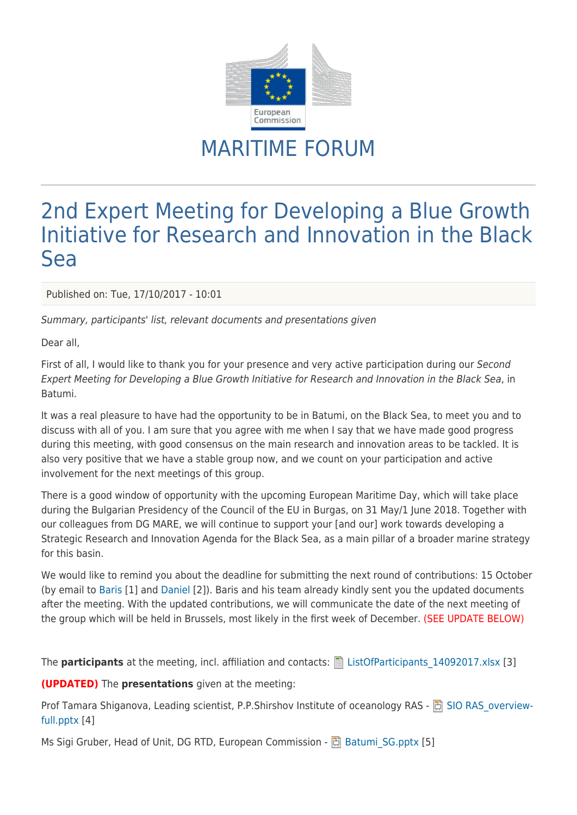

## MARITIME FORUM

## 2nd Expert Meeting for Developing a Blue Growth Initiative for Research and Innovation in the Black Sea

Published on: Tue, 17/10/2017 - 10:01

Summary, participants' list, relevant documents and presentations given

Dear all,

First of all, I would like to thank you for your presence and very active participation during our Second Expert Meeting for Developing a Blue Growth Initiative for Research and Innovation in the Black Sea, in Batumi.

It was a real pleasure to have had the opportunity to be in Batumi, on the Black Sea, to meet you and to discuss with all of you. I am sure that you agree with me when I say that we have made good progress during this meeting, with good consensus on the main research and innovation areas to be tackled. It is also very positive that we have a stable group now, and we count on your participation and active involvement for the next meetings of this group.

There is a good window of opportunity with the upcoming European Maritime Day, which will take place during the Bulgarian Presidency of the Council of the EU in Burgas, on 31 May/1 June 2018. Together with our colleagues from DG MARE, we will continue to support your [and our] work towards developing a Strategic Research and Innovation Agenda for the Black Sea, as a main pillar of a broader marine strategy for this basin.

We would like to remind you about the deadline for submitting the next round of contributions: 15 October (by email to [Baris](mailto:baris@ims.metu.edu.tr) [1] and [Daniel](mailto:daniel-constantin.strugariu@ec.europa.eu) [2]). Baris and his team already kindly sent you the updated documents after the meeting. With the updated contributions, we will communicate the date of the next meeting of the group which will be held in Brussels, most likely in the first week of December. (SEE UPDATE BELOW)

The **participants** at the meeting, incl. affiliation and contacts: **E** ListOfParticipants 14092017.xlsx [3]

**(UPDATED)** The **presentations** given at the meeting:

Prof Tamara Shiganova, Leading scientist, P.P.Shirshov Institute of oceanology RAS - 同 [SIO RAS\\_overview](https://webgate.ec.europa.eu/maritimeforum/system/files/SIO%20RAS_overview-full.pptx)[full.pptx](https://webgate.ec.europa.eu/maritimeforum/system/files/SIO%20RAS_overview-full.pptx) [4]

Ms Sigi Gruber, Head of Unit, DG RTD, European Commission -  $\Box$  Batumi SG.pptx [5]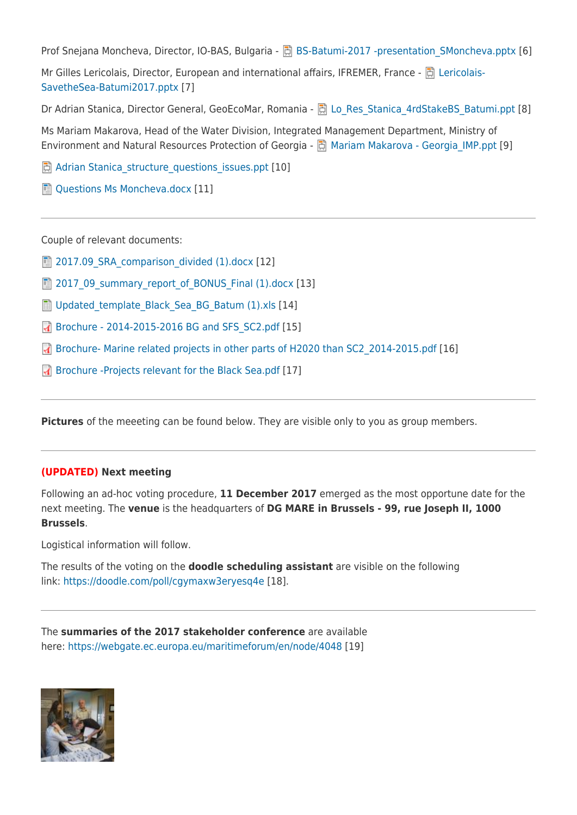Prof Snejana Moncheva, Director, IO-BAS, Bulgaria - **B**BS-Batumi-2017 -presentation SMoncheva.pptx [6]

Mr Gilles Lericolais, Director, European and international affairs, IFREMER, France - 同 [Lericolais-](https://webgate.ec.europa.eu/maritimeforum/system/files/Lericolais-SavetheSea-Batumi2017_1.pptx)[SavetheSea-Batumi2017.pptx](https://webgate.ec.europa.eu/maritimeforum/system/files/Lericolais-SavetheSea-Batumi2017_1.pptx) [7]

Dr Adrian Stanica, Director General, GeoEcoMar, Romania - El Lo Res Stanica 4rdStakeBS Batumi.ppt [8]

Ms Mariam Makarova, Head of the Water Division, Integrated Management Department, Ministry of Environment and Natural Resources Protection of Georgia - 同 Mariam Makarova - Georgia IMP.ppt [9]

同 Adrian Stanica structure questions issues.ppt [10]

[Questions Ms Moncheva.docx](https://webgate.ec.europa.eu/maritimeforum/system/files/Questions%20Ms%20Moncheva_0.docx) [11]

Couple of relevant documents:

 $\Box$  2017.09 SRA comparison divided (1).docx [12]

[2017\\_09\\_summary\\_report\\_of\\_BONUS\\_Final \(1\).docx](https://webgate.ec.europa.eu/maritimeforum/system/files/2017_09_summary_report_of_BONUS_Final%20%281%29.docx) [13]

**■ Updated template Black Sea BG Batum (1).xls [14]** 

**[Brochure - 2014-2015-2016 BG and SFS\\_SC2.pdf](https://webgate.ec.europa.eu/maritimeforum/system/files/Brochure%20-%202014-2015-2016%20BG%20and%20SFS_SC2.pdf) [15]** 

**A** [Brochure- Marine related projects in other parts of H2020 than SC2\\_2014-2015.pdf](https://webgate.ec.europa.eu/maritimeforum/system/files/Brochure-%20Marine%20related%20projects%20in%20other%20parts%20of%20H2020%20than%20SC2_2014-2015.pdf) [16]

[Brochure -Projects relevant for the Black Sea.pdf](https://webgate.ec.europa.eu/maritimeforum/system/files/Brochure%20-Projects%20relevant%20for%20the%20Black%20Sea.pdf) [17]

**Pictures** of the meeeting can be found below. They are visible only to you as group members.

## **(UPDATED) Next meeting**

Following an ad-hoc voting procedure, **11 December 2017** emerged as the most opportune date for the next meeting. The **venue** is the headquarters of **DG MARE in Brussels - 99, rue Joseph II, 1000 Brussels**.

Logistical information will follow.

The results of the voting on the **doodle scheduling assistant** are visible on the following link:<https://doodle.com/poll/cgymaxw3eryesq4e> [18].

The **summaries of the 2017 stakeholder conference** are available here:<https://webgate.ec.europa.eu/maritimeforum/en/node/4048> [19]

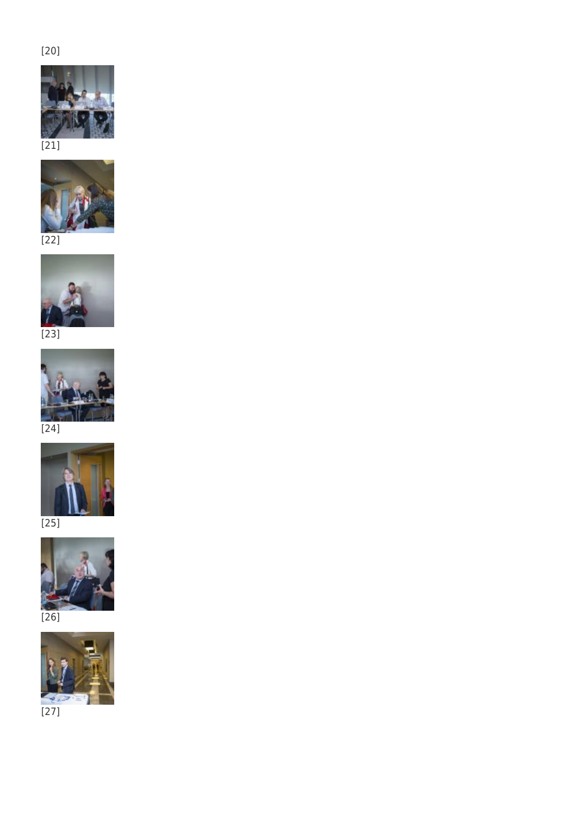## [20]





[22]



[23]



[24]



[25]



[26]



 $[27]$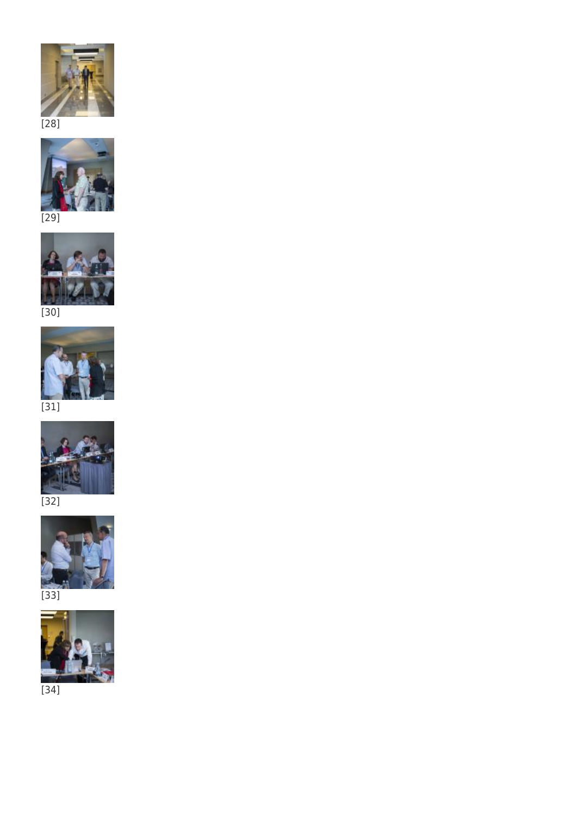



[29]





[31]







[33]



[34]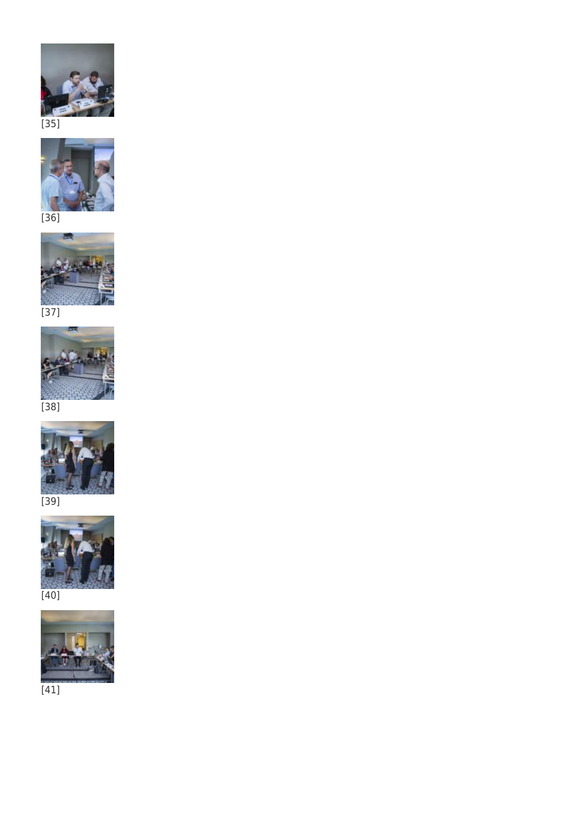



[36]





[38]



[39]



[40]



[41]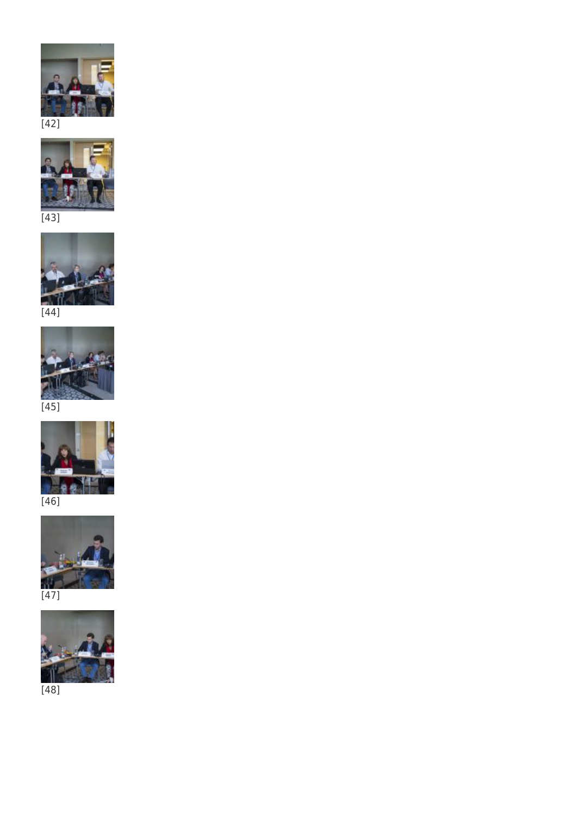



[43]





[45]



[46]





[48]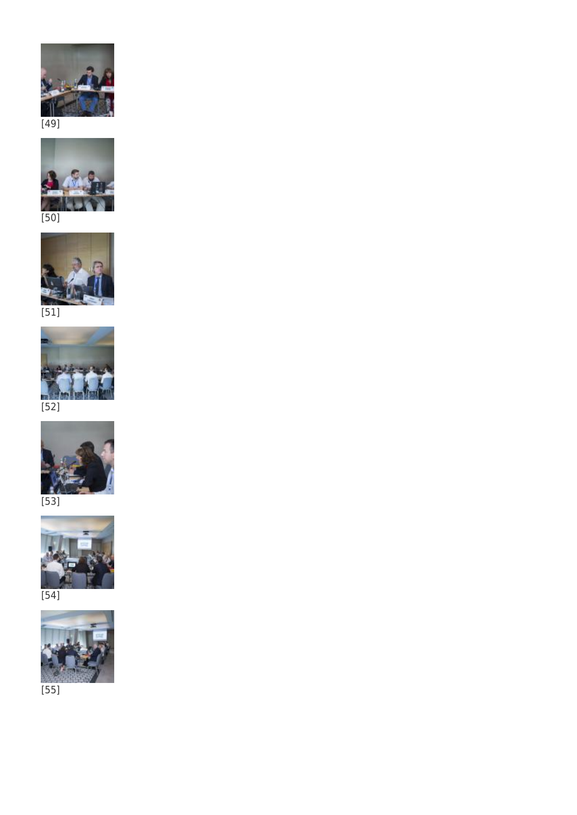



[50]



[51]



[52]



[53]



[54]



[55]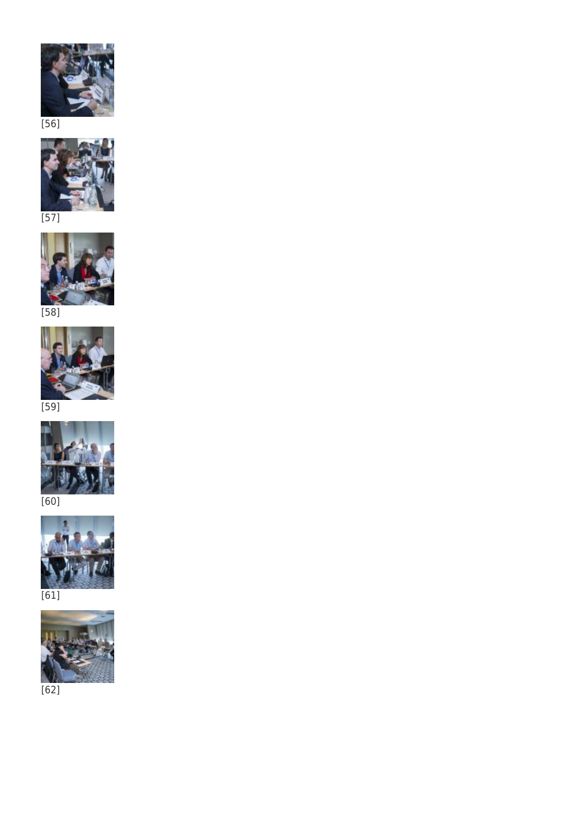



[57]





[59]



[60]



[61]



[62]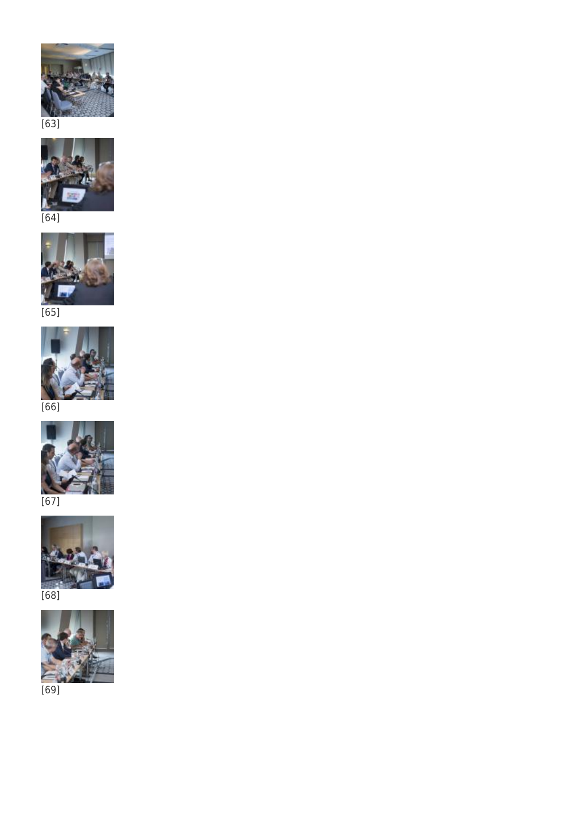



[64]



[65]



[66]



[67]



[68]



[69]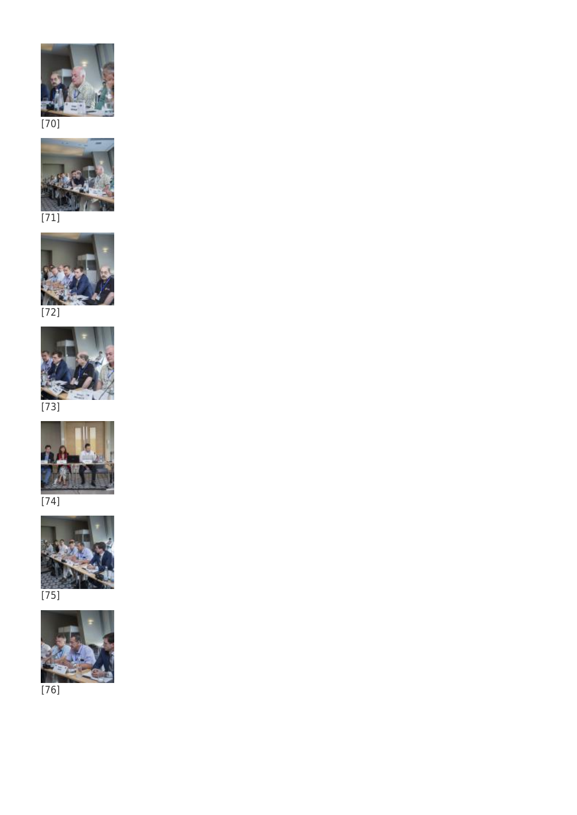



[71]





[73]



[74]



[75]



[76]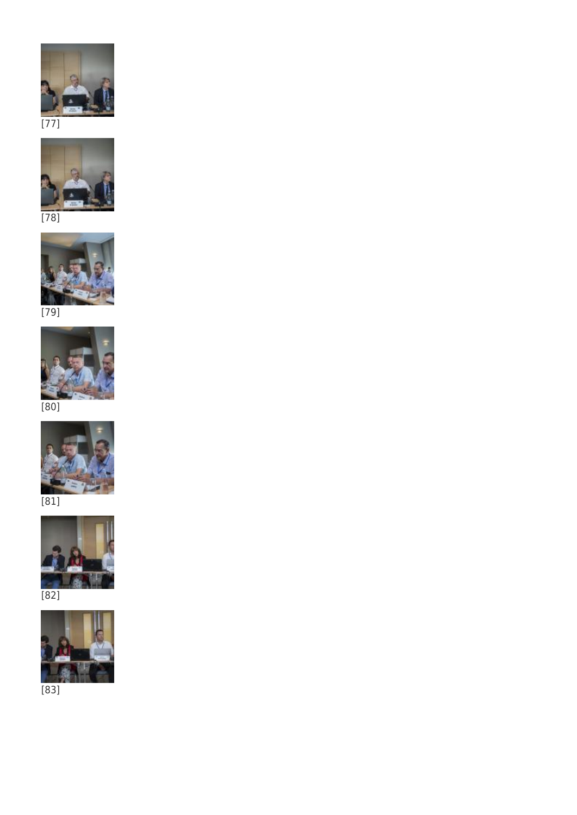

[77]



[78]



[80]



[81]



[82]



[83]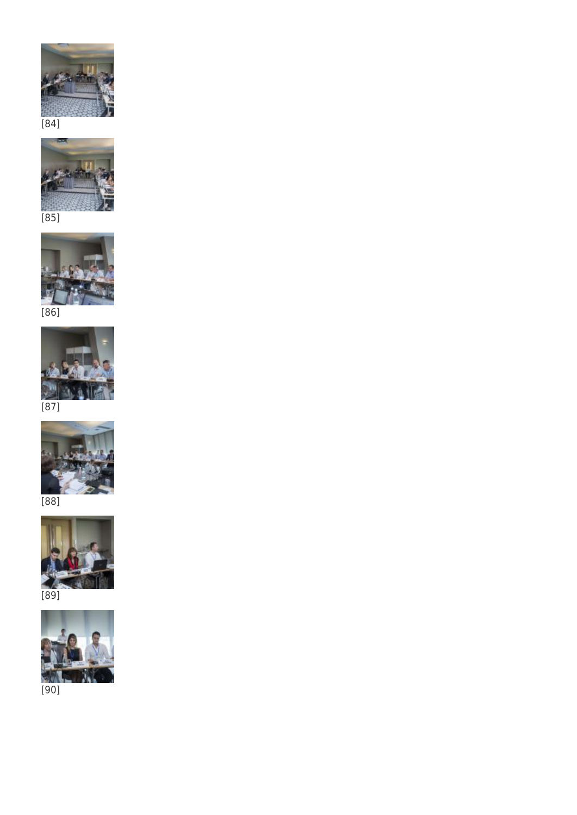





[86]



[87]



[88]



[89]



[90]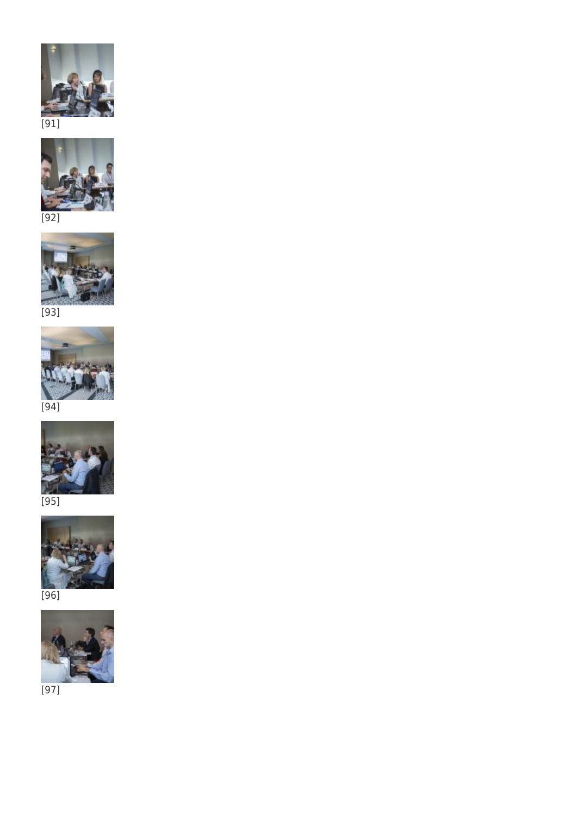



[92]





[94]



[95]



[96]



[97]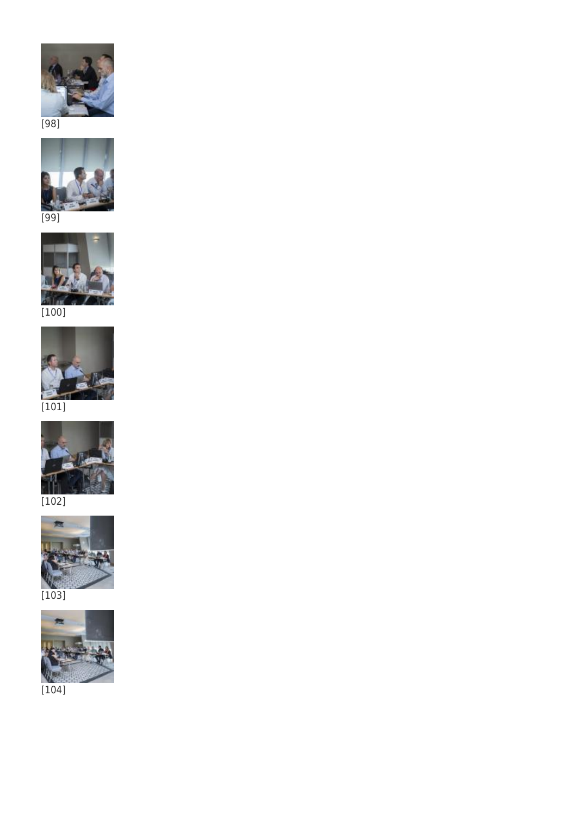



[99]



[101]



[102]



 $[103]$ 



[104]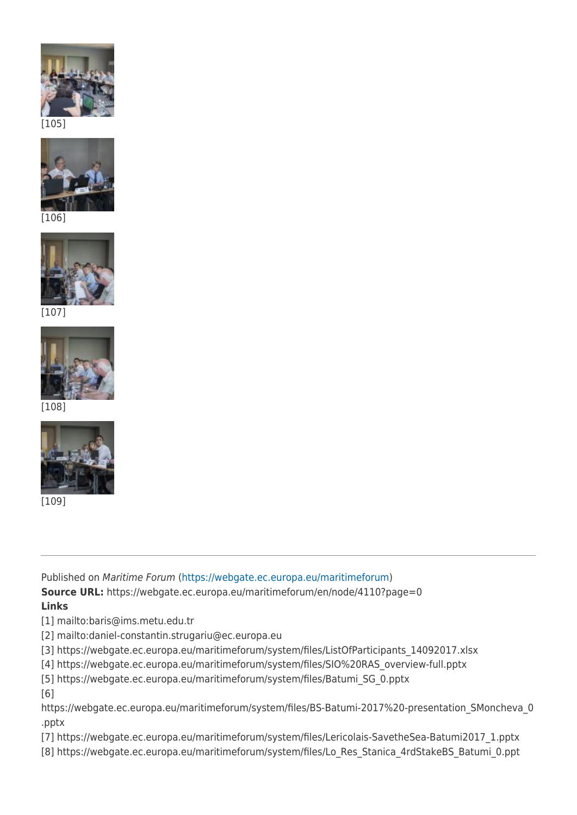



[106]



[107]



[108]



[109]

Published on Maritime Forum ([https://webgate.ec.europa.eu/maritimeforum\)](https://webgate.ec.europa.eu/maritimeforum)

**Source URL:** https://webgate.ec.europa.eu/maritimeforum/en/node/4110?page=0 **Links**

[1] mailto:baris@ims.metu.edu.tr

- [2] mailto:daniel-constantin.strugariu@ec.europa.eu
- [3] https://webgate.ec.europa.eu/maritimeforum/system/files/ListOfParticipants\_14092017.xlsx

[4] https://webgate.ec.europa.eu/maritimeforum/system/files/SIO%20RAS\_overview-full.pptx

[5] https://webgate.ec.europa.eu/maritimeforum/system/files/Batumi\_SG\_0.pptx

[6]

https://webgate.ec.europa.eu/maritimeforum/system/files/BS-Batumi-2017%20-presentation SMoncheva 0 .pptx

[7] https://webgate.ec.europa.eu/maritimeforum/system/files/Lericolais-SavetheSea-Batumi2017\_1.pptx

[8] https://webgate.ec.europa.eu/maritimeforum/system/files/Lo\_Res\_Stanica\_4rdStakeBS\_Batumi\_0.ppt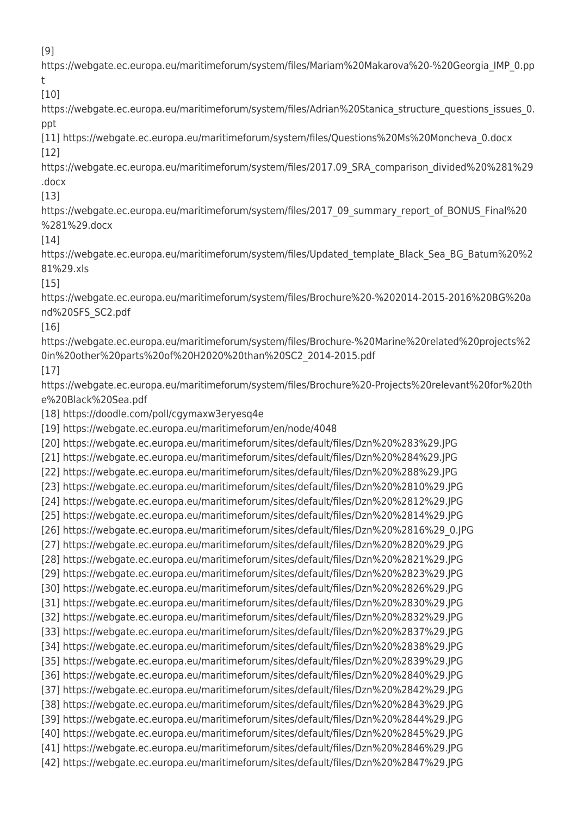[9]

https://webgate.ec.europa.eu/maritimeforum/system/files/Mariam%20Makarova%20-%20Georgia\_IMP\_0.pp t

[10]

https://webgate.ec.europa.eu/maritimeforum/system/files/Adrian%20Stanica structure questions issues 0. ppt

[11] https://webgate.ec.europa.eu/maritimeforum/system/files/Questions%20Ms%20Moncheva\_0.docx [12]

https://webgate.ec.europa.eu/maritimeforum/system/files/2017.09\_SRA\_comparison\_divided%20%281%29 .docx

[13]

https://webgate.ec.europa.eu/maritimeforum/system/files/2017\_09\_summary\_report\_of\_BONUS\_Final%20 %281%29.docx

[14]

https://webgate.ec.europa.eu/maritimeforum/system/files/Updated\_template\_Black\_Sea\_BG\_Batum%20%2 81%29.xls

[15]

https://webgate.ec.europa.eu/maritimeforum/system/files/Brochure%20-%202014-2015-2016%20BG%20a nd%20SFS\_SC2.pdf

[16]

https://webgate.ec.europa.eu/maritimeforum/system/files/Brochure-%20Marine%20related%20projects%2 0in%20other%20parts%20of%20H2020%20than%20SC2\_2014-2015.pdf

[17]

https://webgate.ec.europa.eu/maritimeforum/system/files/Brochure%20-Projects%20relevant%20for%20th e%20Black%20Sea.pdf

[18] https://doodle.com/poll/cgymaxw3eryesq4e

[19] https://webgate.ec.europa.eu/maritimeforum/en/node/4048

[20] https://webgate.ec.europa.eu/maritimeforum/sites/default/files/Dzn%20%283%29.JPG

[21] https://webgate.ec.europa.eu/maritimeforum/sites/default/files/Dzn%20%284%29.JPG

[22] https://webgate.ec.europa.eu/maritimeforum/sites/default/files/Dzn%20%288%29.JPG

[23] https://webgate.ec.europa.eu/maritimeforum/sites/default/files/Dzn%20%2810%29.JPG

[24] https://webgate.ec.europa.eu/maritimeforum/sites/default/files/Dzn%20%2812%29.JPG [25] https://webgate.ec.europa.eu/maritimeforum/sites/default/files/Dzn%20%2814%29.JPG

[26] https://webgate.ec.europa.eu/maritimeforum/sites/default/files/Dzn%20%2816%29\_0.JPG

[27] https://webgate.ec.europa.eu/maritimeforum/sites/default/files/Dzn%20%2820%29.JPG

[28] https://webgate.ec.europa.eu/maritimeforum/sites/default/files/Dzn%20%2821%29.JPG

[29] https://webgate.ec.europa.eu/maritimeforum/sites/default/files/Dzn%20%2823%29.JPG [30] https://webgate.ec.europa.eu/maritimeforum/sites/default/files/Dzn%20%2826%29.JPG

[31] https://webgate.ec.europa.eu/maritimeforum/sites/default/files/Dzn%20%2830%29.JPG

[32] https://webgate.ec.europa.eu/maritimeforum/sites/default/files/Dzn%20%2832%29.JPG

[33] https://webgate.ec.europa.eu/maritimeforum/sites/default/files/Dzn%20%2837%29.JPG

[34] https://webgate.ec.europa.eu/maritimeforum/sites/default/files/Dzn%20%2838%29.JPG

[35] https://webgate.ec.europa.eu/maritimeforum/sites/default/files/Dzn%20%2839%29.JPG

[36] https://webgate.ec.europa.eu/maritimeforum/sites/default/files/Dzn%20%2840%29.JPG

[37] https://webgate.ec.europa.eu/maritimeforum/sites/default/files/Dzn%20%2842%29.JPG

[38] https://webgate.ec.europa.eu/maritimeforum/sites/default/files/Dzn%20%2843%29.JPG

[39] https://webgate.ec.europa.eu/maritimeforum/sites/default/files/Dzn%20%2844%29.JPG

[40] https://webgate.ec.europa.eu/maritimeforum/sites/default/files/Dzn%20%2845%29.JPG

[41] https://webgate.ec.europa.eu/maritimeforum/sites/default/files/Dzn%20%2846%29.JPG [42] https://webgate.ec.europa.eu/maritimeforum/sites/default/files/Dzn%20%2847%29.JPG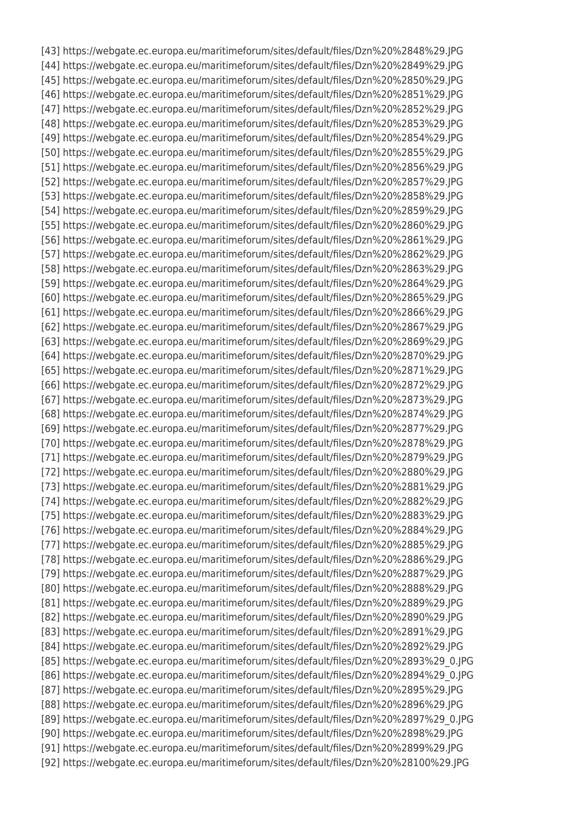[43] https://webgate.ec.europa.eu/maritimeforum/sites/default/files/Dzn%20%2848%29.JPG [44] https://webgate.ec.europa.eu/maritimeforum/sites/default/files/Dzn%20%2849%29.JPG [45] https://webgate.ec.europa.eu/maritimeforum/sites/default/files/Dzn%20%2850%29.JPG [46] https://webgate.ec.europa.eu/maritimeforum/sites/default/files/Dzn%20%2851%29.JPG [47] https://webgate.ec.europa.eu/maritimeforum/sites/default/files/Dzn%20%2852%29.JPG [48] https://webgate.ec.europa.eu/maritimeforum/sites/default/files/Dzn%20%2853%29.JPG [49] https://webgate.ec.europa.eu/maritimeforum/sites/default/files/Dzn%20%2854%29.JPG [50] https://webgate.ec.europa.eu/maritimeforum/sites/default/files/Dzn%20%2855%29.JPG [51] https://webgate.ec.europa.eu/maritimeforum/sites/default/files/Dzn%20%2856%29.JPG [52] https://webgate.ec.europa.eu/maritimeforum/sites/default/files/Dzn%20%2857%29.JPG [53] https://webgate.ec.europa.eu/maritimeforum/sites/default/files/Dzn%20%2858%29.JPG [54] https://webgate.ec.europa.eu/maritimeforum/sites/default/files/Dzn%20%2859%29.JPG [55] https://webgate.ec.europa.eu/maritimeforum/sites/default/files/Dzn%20%2860%29.JPG [56] https://webgate.ec.europa.eu/maritimeforum/sites/default/files/Dzn%20%2861%29.JPG [57] https://webgate.ec.europa.eu/maritimeforum/sites/default/files/Dzn%20%2862%29.JPG [58] https://webgate.ec.europa.eu/maritimeforum/sites/default/files/Dzn%20%2863%29.JPG [59] https://webgate.ec.europa.eu/maritimeforum/sites/default/files/Dzn%20%2864%29.JPG [60] https://webgate.ec.europa.eu/maritimeforum/sites/default/files/Dzn%20%2865%29.JPG [61] https://webgate.ec.europa.eu/maritimeforum/sites/default/files/Dzn%20%2866%29.JPG [62] https://webgate.ec.europa.eu/maritimeforum/sites/default/files/Dzn%20%2867%29.JPG [63] https://webgate.ec.europa.eu/maritimeforum/sites/default/files/Dzn%20%2869%29.JPG [64] https://webgate.ec.europa.eu/maritimeforum/sites/default/files/Dzn%20%2870%29.JPG [65] https://webgate.ec.europa.eu/maritimeforum/sites/default/files/Dzn%20%2871%29.JPG [66] https://webgate.ec.europa.eu/maritimeforum/sites/default/files/Dzn%20%2872%29.JPG [67] https://webgate.ec.europa.eu/maritimeforum/sites/default/files/Dzn%20%2873%29.JPG [68] https://webgate.ec.europa.eu/maritimeforum/sites/default/files/Dzn%20%2874%29.JPG [69] https://webgate.ec.europa.eu/maritimeforum/sites/default/files/Dzn%20%2877%29.JPG [70] https://webgate.ec.europa.eu/maritimeforum/sites/default/files/Dzn%20%2878%29.JPG [71] https://webgate.ec.europa.eu/maritimeforum/sites/default/files/Dzn%20%2879%29.JPG [72] https://webgate.ec.europa.eu/maritimeforum/sites/default/files/Dzn%20%2880%29.JPG [73] https://webgate.ec.europa.eu/maritimeforum/sites/default/files/Dzn%20%2881%29.JPG [74] https://webgate.ec.europa.eu/maritimeforum/sites/default/files/Dzn%20%2882%29.JPG [75] https://webgate.ec.europa.eu/maritimeforum/sites/default/files/Dzn%20%2883%29.JPG [76] https://webgate.ec.europa.eu/maritimeforum/sites/default/files/Dzn%20%2884%29.JPG [77] https://webgate.ec.europa.eu/maritimeforum/sites/default/files/Dzn%20%2885%29.JPG [78] https://webgate.ec.europa.eu/maritimeforum/sites/default/files/Dzn%20%2886%29.JPG [79] https://webgate.ec.europa.eu/maritimeforum/sites/default/files/Dzn%20%2887%29.JPG [80] https://webgate.ec.europa.eu/maritimeforum/sites/default/files/Dzn%20%2888%29.JPG [81] https://webgate.ec.europa.eu/maritimeforum/sites/default/files/Dzn%20%2889%29.JPG [82] https://webgate.ec.europa.eu/maritimeforum/sites/default/files/Dzn%20%2890%29.JPG [83] https://webgate.ec.europa.eu/maritimeforum/sites/default/files/Dzn%20%2891%29.JPG [84] https://webgate.ec.europa.eu/maritimeforum/sites/default/files/Dzn%20%2892%29.JPG [85] https://webgate.ec.europa.eu/maritimeforum/sites/default/files/Dzn%20%2893%29\_0.JPG [86] https://webgate.ec.europa.eu/maritimeforum/sites/default/files/Dzn%20%2894%29\_0.JPG [87] https://webgate.ec.europa.eu/maritimeforum/sites/default/files/Dzn%20%2895%29.JPG [88] https://webgate.ec.europa.eu/maritimeforum/sites/default/files/Dzn%20%2896%29.JPG [89] https://webgate.ec.europa.eu/maritimeforum/sites/default/files/Dzn%20%2897%29\_0.JPG [90] https://webgate.ec.europa.eu/maritimeforum/sites/default/files/Dzn%20%2898%29.JPG [91] https://webgate.ec.europa.eu/maritimeforum/sites/default/files/Dzn%20%2899%29.JPG [92] https://webgate.ec.europa.eu/maritimeforum/sites/default/files/Dzn%20%28100%29.JPG